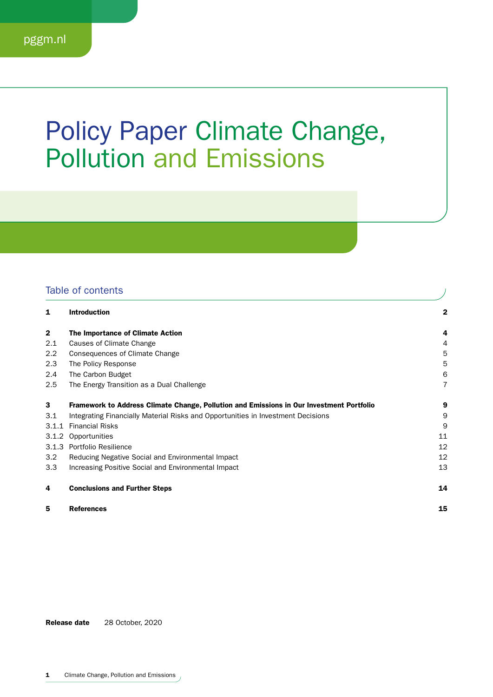## Policy Paper Climate Change, Pollution and Emissions

## Table of contents

| 1            | <b>Introduction</b>                                                                      | 2  |
|--------------|------------------------------------------------------------------------------------------|----|
| $\mathbf{2}$ | The Importance of Climate Action                                                         | 4  |
| 2.1          | Causes of Climate Change                                                                 | 4  |
| 2.2          | Consequences of Climate Change                                                           | 5  |
| 2.3          | The Policy Response                                                                      | 5  |
| 2.4          | The Carbon Budget                                                                        | 6  |
| 2.5          | The Energy Transition as a Dual Challenge                                                | 7  |
| 3            | Framework to Address Climate Change, Pollution and Emissions in Our Investment Portfolio | 9  |
| 3.1          | Integrating Financially Material Risks and Opportunities in Investment Decisions         | 9  |
| 3.1.1        | <b>Financial Risks</b>                                                                   | 9  |
| 3.1.2        | Opportunities                                                                            | 11 |
| 3.1.3        | Portfolio Resilience                                                                     | 12 |
| 3.2          | Reducing Negative Social and Environmental Impact                                        | 12 |
| 3.3          | Increasing Positive Social and Environmental Impact                                      | 13 |
| 4            | <b>Conclusions and Further Steps</b>                                                     | 14 |
| 5            | <b>References</b>                                                                        | 15 |

 $\bigg)$ 

Release date 28 October, 2020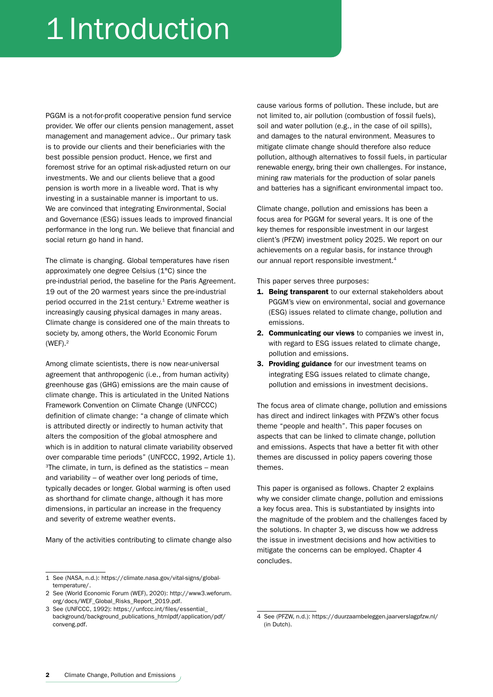# 1 Introduction

PGGM is a not-for-profit cooperative pension fund service provider. We offer our clients pension management, asset management and management advice.. Our primary task is to provide our clients and their beneficiaries with the best possible pension product. Hence, we first and foremost strive for an optimal risk-adjusted return on our investments. We and our clients believe that a good pension is worth more in a liveable word. That is why investing in a sustainable manner is important to us. We are convinced that integrating Environmental, Social and Governance (ESG) issues leads to improved financial performance in the long run. We believe that financial and social return go hand in hand.

The climate is changing. Global temperatures have risen approximately one degree Celsius (1°C) since the pre-industrial period, the baseline for the Paris Agreement. 19 out of the 20 warmest years since the pre-industrial period occurred in the 21st century.<sup>1</sup> Extreme weather is increasingly causing physical damages in many areas. Climate change is considered one of the main threats to society by, among others, the World Economic Forum  $(WEF)$ .<sup>2</sup>

Among climate scientists, there is now near-universal agreement that anthropogenic (i.e., from human activity) greenhouse gas (GHG) emissions are the main cause of climate change. This is articulated in the United Nations Framework Convention on Climate Change (UNFCCC) definition of climate change: "a change of climate which is attributed directly or indirectly to human activity that alters the composition of the global atmosphere and which is in addition to natural climate variability observed over comparable time periods" (UNFCCC, 1992, Article 1).  $3$ The climate, in turn, is defined as the statistics – mean and variability – of weather over long periods of time, typically decades or longer. Global warming is often used as shorthand for climate change, although it has more dimensions, in particular an increase in the frequency and severity of extreme weather events.

Many of the activities contributing to climate change also

cause various forms of pollution. These include, but are not limited to, air pollution (combustion of fossil fuels), soil and water pollution (e.g., in the case of oil spills), and damages to the natural environment. Measures to mitigate climate change should therefore also reduce pollution, although alternatives to fossil fuels, in particular renewable energy, bring their own challenges. For instance, mining raw materials for the production of solar panels and batteries has a significant environmental impact too.

Climate change, pollution and emissions has been a focus area for PGGM for several years. It is one of the key themes for responsible investment in our largest client's (PFZW) investment policy 2025. We report on our achievements on a regular basis, for instance through our annual report responsible investment.<sup>4</sup>

This paper serves three purposes:

- 1. Being transparent to our external stakeholders about PGGM's view on environmental, social and governance (ESG) issues related to climate change, pollution and emissions.
- 2. Communicating our views to companies we invest in, with regard to ESG issues related to climate change. pollution and emissions.
- 3. Providing guidance for our investment teams on integrating ESG issues related to climate change, pollution and emissions in investment decisions.

The focus area of climate change, pollution and emissions has direct and indirect linkages with PFZW's other focus theme "people and health". This paper focuses on aspects that can be linked to climate change, pollution and emissions. Aspects that have a better fit with other themes are discussed in policy papers covering those themes.

This paper is organised as follows. Chapter 2 explains why we consider climate change, pollution and emissions a key focus area. This is substantiated by insights into the magnitude of the problem and the challenges faced by the solutions. In chapter 3, we discuss how we address the issue in investment decisions and how activities to mitigate the concerns can be employed. Chapter 4 concludes.

<sup>1</sup> See (NASA, n.d.): https://climate.nasa.gov/vital-signs/globaltemperature/.

<sup>2</sup> See (World Economic Forum (WEF), 2020): http://www3.weforum. org/docs/WEF\_Global\_Risks\_Report\_2019.pdf.

<sup>3</sup> See (UNFCCC, 1992): https://unfccc.int/files/essential\_ background/background\_publications\_htmlpdf/application/pdf/ conveng.pdf.

<sup>4</sup> See (PFZW, n.d.): https://duurzaambeleggen.jaarverslagpfzw.nl/ (in Dutch).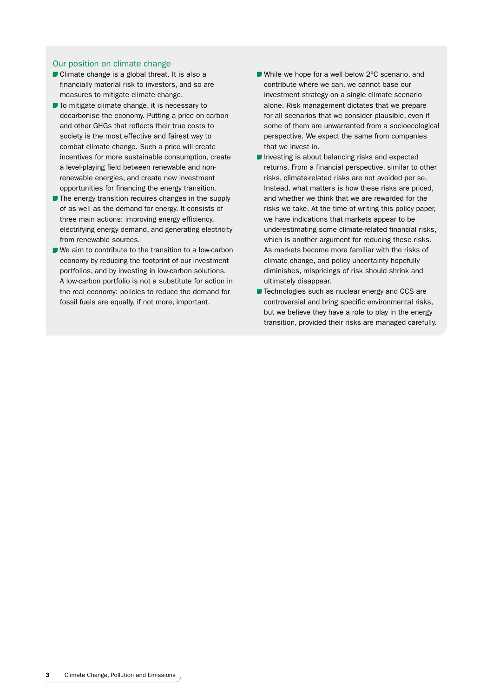#### Our position on climate change

- Climate change is a global threat. It is also a financially material risk to investors, and so are measures to mitigate climate change.
- $\blacksquare$  To mitigate climate change, it is necessary to decarbonise the economy. Putting a price on carbon and other GHGs that reflects their true costs to society is the most effective and fairest way to combat climate change. Such a price will create incentives for more sustainable consumption, create a level-playing field between renewable and nonrenewable energies, and create new investment opportunities for financing the energy transition.
- $\blacksquare$  The energy transition requires changes in the supply of as well as the demand for energy. It consists of three main actions: improving energy efficiency, electrifying energy demand, and generating electricity from renewable sources.
- We aim to contribute to the transition to a low-carbon economy by reducing the footprint of our investment portfolios, and by investing in low-carbon solutions. A low-carbon portfolio is not a substitute for action in the real economy: policies to reduce the demand for fossil fuels are equally, if not more, important.
- While we hope for a well below 2°C scenario, and contribute where we can, we cannot base our investment strategy on a single climate scenario alone. Risk management dictates that we prepare for all scenarios that we consider plausible, even if some of them are unwarranted from a socioecological perspective. We expect the same from companies that we invest in.
- Investing is about balancing risks and expected returns. From a financial perspective, similar to other risks, climate-related risks are not avoided per se. Instead, what matters is how these risks are priced, and whether we think that we are rewarded for the risks we take. At the time of writing this policy paper, we have indications that markets appear to be underestimating some climate-related financial risks, which is another argument for reducing these risks. As markets become more familiar with the risks of climate change, and policy uncertainty hopefully diminishes, mispricings of risk should shrink and ultimately disappear.
- Technologies such as nuclear energy and CCS are controversial and bring specific environmental risks, but we believe they have a role to play in the energy transition, provided their risks are managed carefully.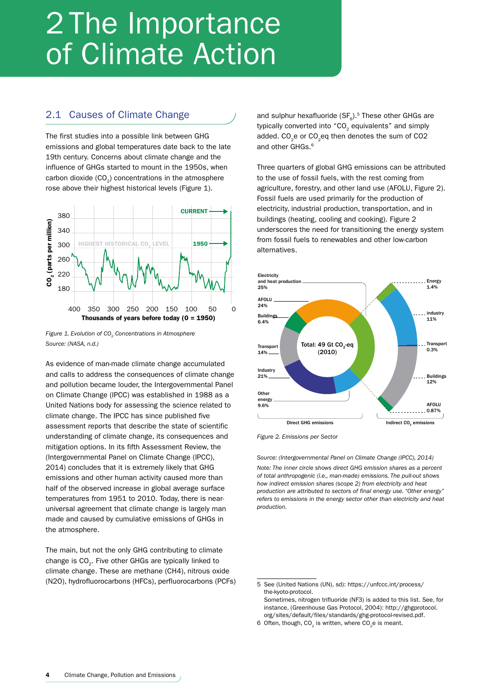# 2 The Importance of Climate Action

### 2.1 Causes of Climate Change

The first studies into a possible link between GHG emissions and global temperatures date back to the late 19th century. Concerns about climate change and the influence of GHGs started to mount in the 1950s, when carbon dioxide  $(CO<sub>2</sub>)$  concentrations in the atmosphere rose above their highest historical levels (Figure 1).



*Figure 1. Evolution of CO<sub>2</sub> Concentrations in Atmosphere Source: (NASA, n.d.)*

As evidence of man-made climate change accumulated and calls to address the consequences of climate change and pollution became louder, the Intergovernmental Panel on Climate Change (IPCC) was established in 1988 as a United Nations body for assessing the science related to climate change. The IPCC has since published five assessment reports that describe the state of scientific understanding of climate change, its consequences and mitigation options. In its fifth Assessment Review, the (Intergovernmental Panel on Climate Change (IPCC), 2014) concludes that it is extremely likely that GHG emissions and other human activity caused more than half of the observed increase in global average surface temperatures from 1951 to 2010. Today, there is nearuniversal agreement that climate change is largely man made and caused by cumulative emissions of GHGs in the atmosphere.

The main, but not the only GHG contributing to climate change is CO<sub>2</sub>. Five other GHGs are typically linked to climate change. These are methane (CH4), nitrous oxide (N2O), hydrofluorocarbons (HFCs), perfluorocarbons (PCFs) and sulphur hexafluoride  $(SF<sub>e</sub>)$ .<sup>5</sup> These other GHGs are typically converted into " $CO<sub>2</sub>$  equivalents" and simply added. CO<sub>2</sub>e or CO<sub>2</sub>eq then denotes the sum of CO2 and other GHGs.<sup>6</sup>

Three quarters of global GHG emissions can be attributed to the use of fossil fuels, with the rest coming from agriculture, forestry, and other land use (AFOLU, Figure 2). Fossil fuels are used primarily for the production of electricity, industrial production, transportation, and in buildings (heating, cooling and cooking). Figure 2 underscores the need for transitioning the energy system from fossil fuels to renewables and other low-carbon alternatives.



*Figure 2. Emissions per Sector*

*Source: (Intergovernmental Panel on Climate Change (IPCC), 2014) Note: The inner circle shows direct GHG emission shares as a percent of total anthropogenic (i.e., man-made) emissions. The pull-out shows how indirect emission shares (scope 2) from electricity and heat production are attributed to sectors of final energy use. "Other energy" refers to emissions in the energy sector other than electricity and heat production.*

<sup>5</sup> See (United Nations (UN), sd): https://unfccc.int/process/ the-kyoto-protocol. Sometimes, nitrogen trifluoride (NF3) is added to this list. See, for instance, (Greenhouse Gas Protocol, 2004): http://ghgprotocol.

org/sites/default/files/standards/ghg-protocol-revised.pdf. 6 Often, though,  $CO<sub>2</sub>$  is written, where  $CO<sub>2</sub>e$  is meant.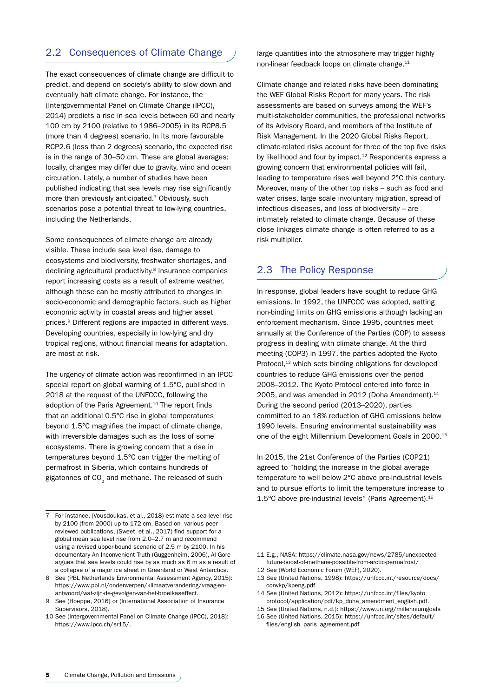## 2.2 Consequences of Climate Change

The exact consequences of climate change are difficult to predict, and depend on society's ability to slow down and eventually halt climate change. For instance, the (Intergovernmental Panel on Climate Change (IPCC), 2014) predicts a rise in sea levels between 60 and nearly 100 cm by 2100 (relative to 1986–2005) in its RCP8.5 (more than 4 degrees) scenario. In its more favourable RCP2.6 (less than 2 degrees) scenario, the expected rise is in the range of 30–50 cm. These are global averages; locally, changes may differ due to gravity, wind and ocean circulation. Lately, a number of studies have been published indicating that sea levels may rise significantly more than previously anticipated.<sup>7</sup> Obviously, such scenarios pose a potential threat to low-lying countries, including the Netherlands.

Some consequences of climate change are already visible. These include sea level rise, damage to ecosystems and biodiversity, freshwater shortages, and declining agricultural productivity.<sup>8</sup> Insurance companies report increasing costs as a result of extreme weather, although these can be mostly attributed to changes in socio-economic and demographic factors, such as higher economic activity in coastal areas and higher asset prices.<sup>9</sup> Different regions are impacted in different ways. Developing countries, especially in low-lying and dry tropical regions, without financial means for adaptation, are most at risk.

The urgency of climate action was reconfirmed in an IPCC special report on global warming of 1.5°C, published in 2018 at the request of the UNFCCC, following the adoption of the Paris Agreement.<sup>10</sup> The report finds that an additional 0.5°C rise in global temperatures beyond 1.5°C magnifies the impact of climate change, with irreversible damages such as the loss of some ecosystems. There is growing concern that a rise in temperatures beyond 1.5°C can trigger the melting of permafrost in Siberia, which contains hundreds of gigatonnes of CO<sub>2</sub> and methane. The released of such

large quantities into the atmosphere may trigger highly non-linear feedback loops on climate change.<sup>11</sup>

Climate change and related risks have been dominating the WEF Global Risks Report for many years. The risk assessments are based on surveys among the WEF's multi-stakeholder communities, the professional networks of its Advisory Board, and members of the Institute of Risk Management. In the 2020 Global Risks Report, climate-related risks account for three of the top five risks by likelihood and four by impact.<sup>12</sup> Respondents express a growing concern that environmental policies will fail, leading to temperature rises well beyond 2°C this century. Moreover, many of the other top risks – such as food and water crises, large scale involuntary migration, spread of infectious diseases, and loss of biodiversity – are intimately related to climate change. Because of these close linkages climate change is often referred to as a risk multiplier.

## 2.3 The Policy Response

In response, global leaders have sought to reduce GHG emissions. In 1992, the UNFCCC was adopted, setting non-binding limits on GHG emissions although lacking an enforcement mechanism. Since 1995, countries meet annually at the Conference of the Parties (COP) to assess progress in dealing with climate change. At the third meeting (COP3) in 1997, the parties adopted the Kyoto Protocol,<sup>13</sup> which sets binding obligations for developed countries to reduce GHG emissions over the period 2008–2012. The Kyoto Protocol entered into force in 2005, and was amended in 2012 (Doha Amendment). $14$ During the second period (2013–2020), parties committed to an 18% reduction of GHG emissions below 1990 levels. Ensuring environmental sustainability was one of the eight Millennium Development Goals in 2000.<sup>15</sup>

In 2015, the 21st Conference of the Parties (COP21) agreed to "holding the increase in the global average temperature to well below 2°C above pre-industrial levels and to pursue efforts to limit the temperature increase to 1.5°C above pre-industrial levels" (Paris Agreement).16

<sup>7</sup> For instance, (Vousdoukas, et al., 2018) estimate a sea level rise by 2100 (from 2000) up to 172 cm. Based on various peerreviewed publications, (Sweet, et al., 2017) find support for a global mean sea level rise from 2.0–2.7 m and recommend using a revised upper-bound scenario of 2.5 m by 2100. In his documentary An Inconvenient Truth (Guggenheim, 2006), Al Gore argues that sea levels could rise by as much as 6 m as a result of a collapse of a major ice sheet in Greenland or West Antarctica.

<sup>8</sup> See (PBL Netherlands Environmental Assessment Agency, 2015): https://www.pbl.nl/onderwerpen/klimaatverandering/vraag-enantwoord/wat-zijn-de-gevolgen-van-het-broeikaseffect.

<sup>9</sup> See (Hoeppe, 2016) or (International Association of Insurance Supervisors, 2018).

<sup>10</sup> See (Intergovernmental Panel on Climate Change (IPCC), 2018): https://www.ipcc.ch/sr15/.

<sup>11</sup> E.g., NASA: https://climate.nasa.gov/news/2785/unexpectedfuture-boost-of-methane-possible-from-arctic-permafrost/

<sup>12</sup> See (World Economic Forum (WEF), 2020).

<sup>13</sup> See (United Nations, 1998): https://unfccc.int/resource/docs/ convkp/kpeng.pdf

<sup>14</sup> See (United Nations, 2012): https://unfccc.int/files/kyoto\_ protocol/application/pdf/kp\_doha\_amendment\_english.pdf.

<sup>15</sup> See (United Nations, n.d.): https://www.un.org/millenniumgoals

<sup>16</sup> See (United Nations, 2015): https://unfccc.int/sites/default/ files/english\_paris\_agreement.pdf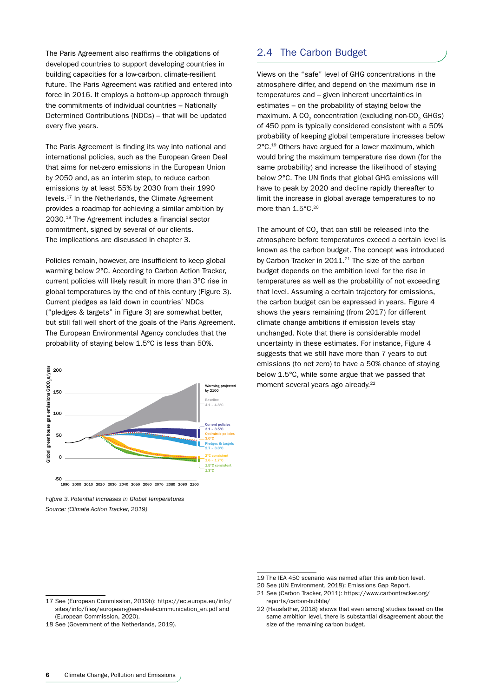The Paris Agreement also reaffirms the obligations of developed countries to support developing countries in building capacities for a low-carbon, climate-resilient future. The Paris Agreement was ratified and entered into force in 2016. It employs a bottom-up approach through the commitments of individual countries – Nationally Determined Contributions (NDCs) – that will be updated every five years.

The Paris Agreement is finding its way into national and international policies, such as the European Green Deal that aims for net-zero emissions in the European Union by 2050 and, as an interim step, to reduce carbon emissions by at least 55% by 2030 from their 1990 levels.17 In the Netherlands, the Climate Agreement provides a roadmap for achieving a similar ambition by 2030.18 The Agreement includes a financial sector commitment, signed by several of our clients. The implications are discussed in chapter 3.

Policies remain, however, are insufficient to keep global warming below 2°C. According to Carbon Action Tracker, current policies will likely result in more than 3°C rise in global temperatures by the end of this century (Figure 3). Current pledges as laid down in countries' NDCs ("pledges & targets" in Figure 3) are somewhat better, but still fall well short of the goals of the Paris Agreement. The European Environmental Agency concludes that the probability of staying below 1.5°C is less than 50%.



*Figure 3. Potential Increases in Global Temperatures Source: (Climate Action Tracker, 2019)*

### 2.4 The Carbon Budget

Views on the "safe" level of GHG concentrations in the atmosphere differ, and depend on the maximum rise in temperatures and – given inherent uncertainties in estimates – on the probability of staying below the maximum. A CO<sub>2</sub> concentration (excluding non-CO<sub>2</sub> GHGs) of 450 ppm is typically considered consistent with a 50% probability of keeping global temperature increases below 2°C.19 Others have argued for a lower maximum, which would bring the maximum temperature rise down (for the same probability) and increase the likelihood of staying below 2°C. The UN finds that global GHG emissions will have to peak by 2020 and decline rapidly thereafter to limit the increase in global average temperatures to no more than 1.5°C.<sup>20</sup>

The amount of  $CO<sub>2</sub>$  that can still be released into the atmosphere before temperatures exceed a certain level is known as the carbon budget. The concept was introduced by Carbon Tracker in 2011.<sup>21</sup> The size of the carbon budget depends on the ambition level for the rise in temperatures as well as the probability of not exceeding that level. Assuming a certain trajectory for emissions, the carbon budget can be expressed in years. Figure 4 shows the years remaining (from 2017) for different climate change ambitions if emission levels stay unchanged. Note that there is considerable model uncertainty in these estimates. For instance, Figure 4 suggests that we still have more than 7 years to cut emissions (to net zero) to have a 50% chance of staying below 1.5°C, while some argue that we passed that moment several years ago already.<sup>22</sup>

<sup>19</sup> The IEA 450 scenario was named after this ambition level.

<sup>20</sup> See (UN Environment, 2018): Emissions Gap Report.

<sup>21</sup> See (Carbon Tracker, 2011): https://www.carbontracker.org/ reports/carbon-bubble/

<sup>22</sup> (Hausfather, 2018) shows that even among studies based on the same ambition level, there is substantial disagreement about the size of the remaining carbon budget.

<sup>17</sup> See (European Commission, 2019b): https://ec.europa.eu/info/ sites/info/files/european-green-deal-communication\_en.pdf and (European Commission, 2020).

<sup>18</sup> See (Government of the Netherlands, 2019).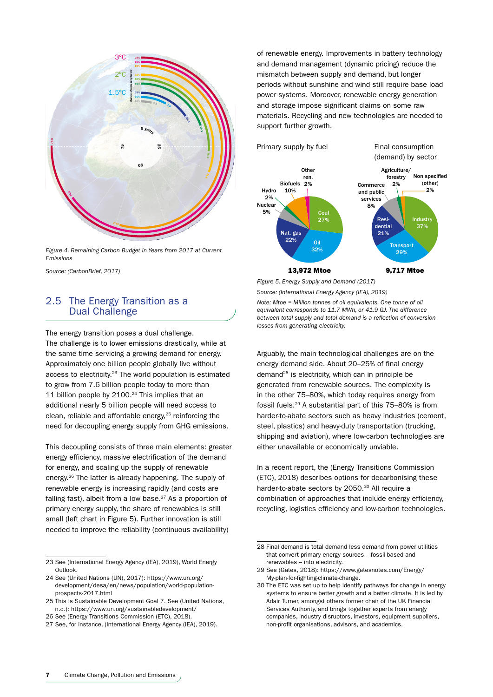

*Figure 4. Remaining Carbon Budget in Years from 2017 at Current Emissions*

*Source: (CarbonBrief, 2017)*

### 2.5 The Energy Transition as a Dual Challenge

The energy transition poses a dual challenge. The challenge is to lower emissions drastically, while at the same time servicing a growing demand for energy. Approximately one billion people globally live without access to electricity.23 The world population is estimated to grow from 7.6 billion people today to more than 11 billion people by 2100.<sup>24</sup> This implies that an additional nearly 5 billion people will need access to clean, reliable and affordable energy, $25$  reinforcing the need for decoupling energy supply from GHG emissions.

This decoupling consists of three main elements: greater energy efficiency, massive electrification of the demand for energy, and scaling up the supply of renewable energy.26 The latter is already happening. The supply of renewable energy is increasing rapidly (and costs are falling fast), albeit from a low base. $27$  As a proportion of primary energy supply, the share of renewables is still small (left chart in Figure 5). Further innovation is still needed to improve the reliability (continuous availability)

of renewable energy. Improvements in battery technology and demand management (dynamic pricing) reduce the mismatch between supply and demand, but longer periods without sunshine and wind still require base load power systems. Moreover, renewable energy generation and storage impose significant claims on some raw materials. Recycling and new technologies are needed to support further growth.



*Figure 5. Energy Supply and Demand (2017) Source: (International Energy Agency (IEA), 2019)*

*Note: Mtoe = Million tonnes of oil equivalents. One tonne of oil equivalent corresponds to 11.7 MWh, or 41.9 GJ. The difference between total supply and total demand is a reflection of conversion losses from generating electricity.*

Arguably, the main technological challenges are on the energy demand side. About 20–25% of final energy demand28 is electricity, which can in principle be generated from renewable sources. The complexity is in the other 75–80%, which today requires energy from fossil fuels.29 A substantial part of this 75–80% is from harder-to-abate sectors such as heavy industries (cement, steel, plastics) and heavy-duty transportation (trucking, shipping and aviation), where low-carbon technologies are either unavailable or economically unviable.

In a recent report, the (Energy Transitions Commission (ETC), 2018) describes options for decarbonising these harder-to-abate sectors by 2050.<sup>30</sup> All require a combination of approaches that include energy efficiency, recycling, logistics efficiency and low-carbon technologies.

<sup>23</sup> See (International Energy Agency (IEA), 2019), World Energy Outlook.

<sup>24</sup> See (United Nations (UN), 2017): https://www.un.org/ development/desa/en/news/population/world-populationprospects-2017.html

<sup>25</sup> This is Sustainable Development Goal 7. See (United Nations, n.d.): https://www.un.org/sustainabledevelopment/

<sup>26</sup> See (Energy Transitions Commission (ETC), 2018).

<sup>27</sup> See, for instance, (International Energy Agency (IEA), 2019).

<sup>28</sup> Final demand is total demand less demand from power utilities that convert primary energy sources – fossil-based and renewables – into electricity.

<sup>29</sup> See (Gates, 2018): https://www.gatesnotes.com/Energy/ My-plan-for-fighting-climate-change.

<sup>30</sup> The ETC was set up to help identify pathways for change in energy systems to ensure better growth and a better climate. It is led by Adair Turner, amongst others former chair of the UK Financial Services Authority, and brings together experts from energy companies, industry disruptors, investors, equipment suppliers, non-profit organisations, advisors, and academics.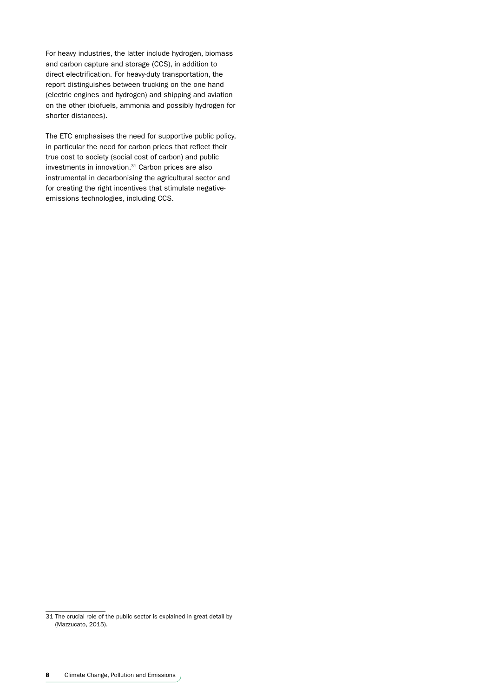For heavy industries, the latter include hydrogen, biomass and carbon capture and storage (CCS), in addition to direct electrification. For heavy-duty transportation, the report distinguishes between trucking on the one hand (electric engines and hydrogen) and shipping and aviation on the other (biofuels, ammonia and possibly hydrogen for shorter distances).

The ETC emphasises the need for supportive public policy, in particular the need for carbon prices that reflect their true cost to society (social cost of carbon) and public investments in innovation.31 Carbon prices are also instrumental in decarbonising the agricultural sector and for creating the right incentives that stimulate negativeemissions technologies, including CCS.

<sup>31</sup> The crucial role of the public sector is explained in great detail by (Mazzucato, 2015).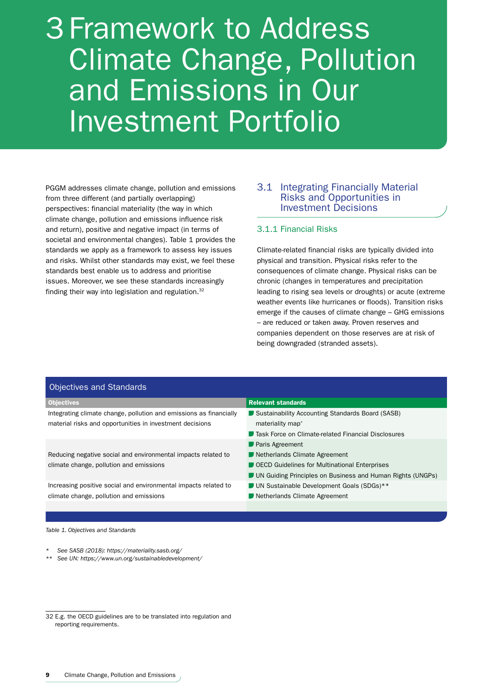# 3 Framework to Address Climate Change, Pollution and Emissions in Our Investment Portfolio

PGGM addresses climate change, pollution and emissions from three different (and partially overlapping) perspectives: financial materiality (the way in which climate change, pollution and emissions influence risk and return), positive and negative impact (in terms of societal and environmental changes). Table 1 provides the standards we apply as a framework to assess key issues and risks. Whilst other standards may exist, we feel these standards best enable us to address and prioritise issues. Moreover, we see these standards increasingly finding their way into legislation and regulation.32

### 3.1 Integrating Financially Material Risks and Opportunities in Investment Decisions

#### 3.1.1 Financial Risks

Climate-related financial risks are typically divided into physical and transition. Physical risks refer to the consequences of climate change. Physical risks can be chronic (changes in temperatures and precipitation leading to rising sea levels or droughts) or acute (extreme weather events like hurricanes or floods). Transition risks emerge if the causes of climate change – GHG emissions – are reduced or taken away. Proven reserves and companies dependent on those reserves are at risk of being downgraded (stranded assets).

| <b>Objectives and Standards</b> |  |  |  |
|---------------------------------|--|--|--|
|---------------------------------|--|--|--|

| Objectives                                                         | <b>Relevant standards</b>                                  |
|--------------------------------------------------------------------|------------------------------------------------------------|
| Integrating climate change, pollution and emissions as financially | Sustainability Accounting Standards Board (SASB)           |
| material risks and opportunities in investment decisions           | materiality map*                                           |
|                                                                    | <b>Task Force on Climate-related Financial Disclosures</b> |
|                                                                    | <b>Paris Agreement</b>                                     |

Reducing negative social and environmental impacts related to climate change, pollution and emissions

Increasing positive social and environmental impacts related to climate change, pollution and emissions

- Netherlands Climate Agreement
- OECD Guidelines for Multinational Enterprises
- UN Guiding Principles on Business and Human Rights (UNGPs)
- UN Sustainable Development Goals (SDGs)\*\*
- Netherlands Climate Agreement

#### *Table 1. Objectives and Standards*

- *\* See SASB (2018): https://materiality.sasb.org/*
- *\*\* See UN: https://www.un.org/sustainabledevelopment/*

<sup>32</sup> E.g. the OECD guidelines are to be translated into regulation and reporting requirements.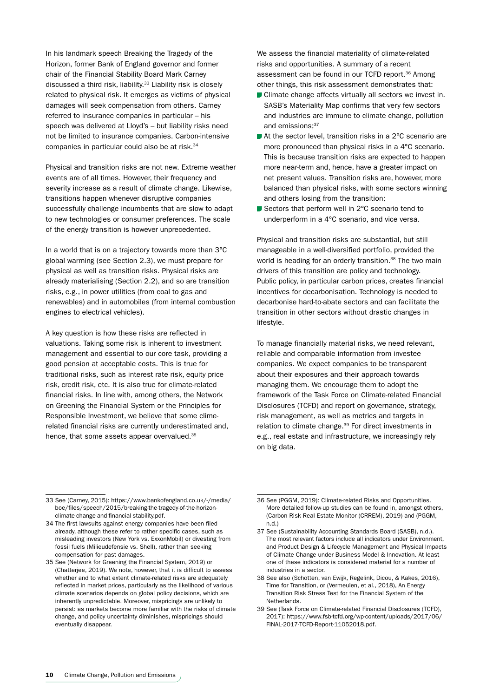In his landmark speech Breaking the Tragedy of the Horizon, former Bank of England governor and former chair of the Financial Stability Board Mark Carney discussed a third risk, liability.<sup>33</sup> Liability risk is closely related to physical risk. It emerges as victims of physical damages will seek compensation from others. Carney referred to insurance companies in particular – his speech was delivered at Lloyd's – but liability risks need not be limited to insurance companies. Carbon-intensive companies in particular could also be at risk.34

Physical and transition risks are not new. Extreme weather events are of all times. However, their frequency and severity increase as a result of climate change. Likewise, transitions happen whenever disruptive companies successfully challenge incumbents that are slow to adapt to new technologies or consumer preferences. The scale of the energy transition is however unprecedented.

In a world that is on a trajectory towards more than 3°C global warming (see Section 2.3), we must prepare for physical as well as transition risks. Physical risks are already materialising (Section 2.2), and so are transition risks, e.g., in power utilities (from coal to gas and renewables) and in automobiles (from internal combustion engines to electrical vehicles).

A key question is how these risks are reflected in valuations. Taking some risk is inherent to investment management and essential to our core task, providing a good pension at acceptable costs. This is true for traditional risks, such as interest rate risk, equity price risk, credit risk, etc. It is also true for climate-related financial risks. In line with, among others, the Network on Greening the Financial System or the Principles for Responsible Investment, we believe that some climerelated financial risks are currently underestimated and, hence, that some assets appear overvalued.<sup>35</sup>

We assess the financial materiality of climate-related risks and opportunities. A summary of a recent assessment can be found in our TCFD report.36 Among other things, this risk assessment demonstrates that:

- **Climate change affects virtually all sectors we invest in.** SASB's Materiality Map confirms that very few sectors and industries are immune to climate change, pollution and emissions: 37
- At the sector level, transition risks in a 2°C scenario are more pronounced than physical risks in a 4°C scenario. This is because transition risks are expected to happen more near-term and, hence, have a greater impact on net present values. Transition risks are, however, more balanced than physical risks, with some sectors winning and others losing from the transition;
- Sectors that perform well in 2°C scenario tend to underperform in a 4°C scenario, and vice versa.

Physical and transition risks are substantial, but still manageable in a well-diversified portfolio, provided the world is heading for an orderly transition.<sup>38</sup> The two main drivers of this transition are policy and technology. Public policy, in particular carbon prices, creates financial incentives for decarbonisation. Technology is needed to decarbonise hard-to-abate sectors and can facilitate the transition in other sectors without drastic changes in lifestyle.

To manage financially material risks, we need relevant, reliable and comparable information from investee companies. We expect companies to be transparent about their exposures and their approach towards managing them. We encourage them to adopt the framework of the Task Force on Climate-related Financial Disclosures (TCFD) and report on governance, strategy, risk management, as well as metrics and targets in relation to climate change.39 For direct investments in e.g., real estate and infrastructure, we increasingly rely on big data.

<sup>33</sup> See (Carney, 2015): https://www.bankofengland.co.uk/-/media/ boe/files/speech/2015/breaking-the-tragedy-of-the-horizonclimate-change-and-financial-stability.pdf.

<sup>34</sup> The first lawsuits against energy companies have been filed already, although these refer to rather specific cases, such as misleading investors (New York vs. ExxonMobil) or divesting from fossil fuels (Milieudefensie vs. Shell), rather than seeking compensation for past damages.

<sup>35</sup> See (Network for Greening the Financial System, 2019) or (Chatterjee, 2019). We note, however, that it is difficult to assess whether and to what extent climate-related risks are adequately reflected in market prices, particularly as the likelihood of various climate scenarios depends on global policy decisions, which are inherently unpredictable. Moreover, mispricings are unlikely to persist: as markets become more familiar with the risks of climate change, and policy uncertainty diminishes, mispricings should eventually disappear.

<sup>36</sup> See (PGGM, 2019): Climate-related Risks and Opportunities. More detailed follow-up studies can be found in, amongst others, (Carbon Risk Real Estate Monitor (CRREM), 2019) and (PGGM, n.d.)

<sup>37</sup> See (Sustainability Accounting Standards Board (SASB), n.d.). The most relevant factors include all indicators under Environment, and Product Design & Lifecycle Management and Physical Impacts of Climate Change under Business Model & Innovation. At least one of these indicators is considered material for a number of industries in a sector.

<sup>38</sup> See also (Schotten, van Ewijk, Regelink, Dicou, & Kakes, 2016), Time for Transition, or (Vermeulen, et al., 2018), An Energy Transition Risk Stress Test for the Financial System of the Netherlands.

<sup>39</sup> See (Task Force on Climate-related Financial Disclosures (TCFD), 2017): https://www.fsb-tcfd.org/wp-content/uploads/2017/06/ FINAL-2017-TCFD-Report-11052018.pdf.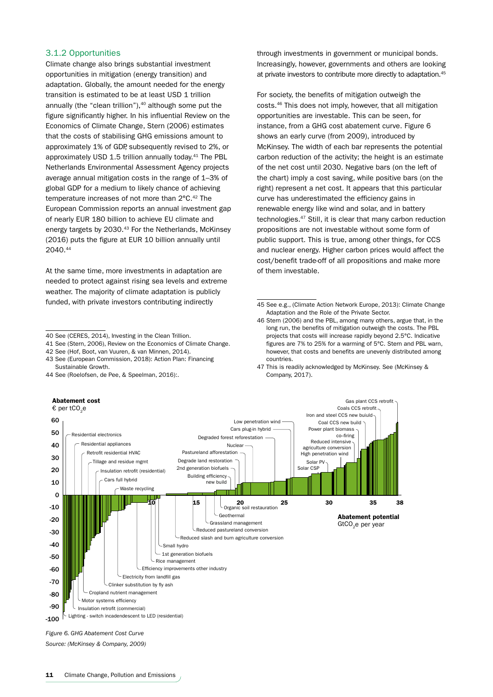#### 3.1.2 Opportunities

Climate change also brings substantial investment opportunities in mitigation (energy transition) and adaptation. Globally, the amount needed for the energy transition is estimated to be at least USD 1 trillion annually (the "clean trillion"), $40$  although some put the figure significantly higher. In his influential Review on the Economics of Climate Change, Stern (2006) estimates that the costs of stabilising GHG emissions amount to approximately 1% of GDP, subsequently revised to 2%, or approximately USD 1.5 trillion annually today.<sup>41</sup> The PBL Netherlands Environmental Assessment Agency projects average annual mitigation costs in the range of 1–3% of global GDP for a medium to likely chance of achieving temperature increases of not more than 2°C.<sup>42</sup> The European Commission reports an annual investment gap of nearly EUR 180 billion to achieve EU climate and energy targets by 2030.<sup>43</sup> For the Netherlands, McKinsey (2016) puts the figure at EUR 10 billion annually until 2040.44

At the same time, more investments in adaptation are needed to protect against rising sea levels and extreme weather. The majority of climate adaptation is publicly funded, with private investors contributing indirectly

41 See (Stern, 2006), Review on the Economics of Climate Change.

40 See (CERES, 2014), Investing in the Clean Trillion.

42 See (Hof, Boot, van Vuuren, & van Minnen, 2014). 43 See (European Commission, 2018): Action Plan: Financing

44 See (Roelofsen, de Pee, & Speelman, 2016):.

through investments in government or municipal bonds. Increasingly, however, governments and others are looking at private investors to contribute more directly to adaptation.45

For society, the benefits of mitigation outweigh the costs.46 This does not imply, however, that all mitigation opportunities are investable. This can be seen, for instance, from a GHG cost abatement curve. Figure 6 shows an early curve (from 2009), introduced by McKinsey. The width of each bar represents the potential carbon reduction of the activity; the height is an estimate of the net cost until 2030. Negative bars (on the left of the chart) imply a cost saving, while positive bars (on the right) represent a net cost. It appears that this particular curve has underestimated the efficiency gains in renewable energy like wind and solar, and in battery technologies.47 Still, it is clear that many carbon reduction propositions are not investable without some form of public support. This is true, among other things, for CCS and nuclear energy. Higher carbon prices would affect the cost/benefit trade-off of all propositions and make more of them investable.

Gas plant CCS retrofit Coals CCS retrofit

47 This is readily acknowledged by McKinsey. See (McKinsey & Company, 2017).



*Source: (McKinsey & Company, 2009)*

Sustainable Growth.

<sup>45</sup> See e.g., (Climate Action Network Europe, 2013): Climate Change Adaptation and the Role of the Private Sector.

<sup>46</sup> Stern (2006) and the PBL, among many others, argue that, in the long run, the benefits of mitigation outweigh the costs. The PBL projects that costs will increase rapidly beyond 2.5°C. Indicative figures are 7% to 25% for a warming of 5°C. Stern and PBL warn, however, that costs and benefits are unevenly distributed among countries.

Abatement cost € per tCO<sub>2</sub>e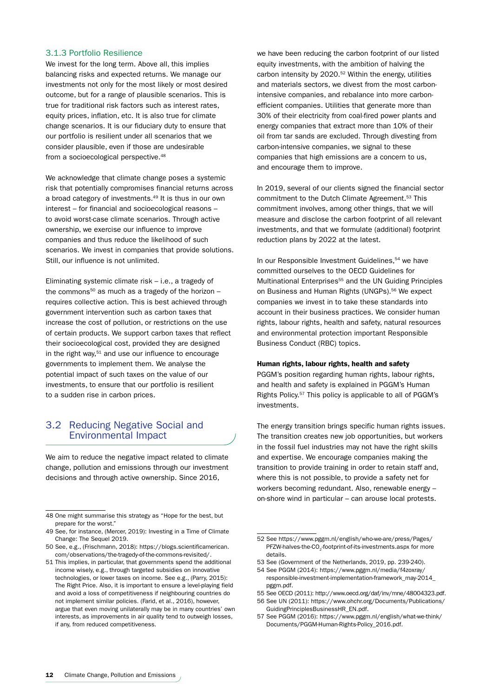#### 3.1.3 Portfolio Resilience

We invest for the long term. Above all, this implies balancing risks and expected returns. We manage our investments not only for the most likely or most desired outcome, but for a range of plausible scenarios. This is true for traditional risk factors such as interest rates, equity prices, inflation, etc. It is also true for climate change scenarios. It is our fiduciary duty to ensure that our portfolio is resilient under all scenarios that we consider plausible, even if those are undesirable from a socioecological perspective.<sup>48</sup>

We acknowledge that climate change poses a systemic risk that potentially compromises financial returns across a broad category of investments.<sup>49</sup> It is thus in our own interest – for financial and socioecological reasons – to avoid worst-case climate scenarios. Through active ownership, we exercise our influence to improve companies and thus reduce the likelihood of such scenarios. We invest in companies that provide solutions. Still, our influence is not unlimited.

Eliminating systemic climate risk – i.e., a tragedy of the commons<sup>50</sup> as much as a tragedy of the horizon  $$ requires collective action. This is best achieved through government intervention such as carbon taxes that increase the cost of pollution, or restrictions on the use of certain products. We support carbon taxes that reflect their socioecological cost, provided they are designed in the right way,<sup>51</sup> and use our influence to encourage governments to implement them. We analyse the potential impact of such taxes on the value of our investments, to ensure that our portfolio is resilient to a sudden rise in carbon prices.

### 3.2 Reducing Negative Social and Environmental Impact

We aim to reduce the negative impact related to climate change, pollution and emissions through our investment decisions and through active ownership. Since 2016,

we have been reducing the carbon footprint of our listed equity investments, with the ambition of halving the carbon intensity by 2020.52 Within the energy, utilities and materials sectors, we divest from the most carbonintensive companies, and rebalance into more carbonefficient companies. Utilities that generate more than 30% of their electricity from coal-fired power plants and energy companies that extract more than 10% of their oil from tar sands are excluded. Through divesting from carbon-intensive companies, we signal to these companies that high emissions are a concern to us, and encourage them to improve.

In 2019, several of our clients signed the financial sector commitment to the Dutch Climate Agreement.<sup>53</sup> This commitment involves, among other things, that we will measure and disclose the carbon footprint of all relevant investments, and that we formulate (additional) footprint reduction plans by 2022 at the latest.

In our Responsible Investment Guidelines.<sup>54</sup> we have committed ourselves to the OECD Guidelines for Multinational Enterprises<sup>55</sup> and the UN Guiding Principles on Business and Human Rights (UNGPs).<sup>56</sup> We expect companies we invest in to take these standards into account in their business practices. We consider human rights, labour rights, health and safety, natural resources and environmental protection important Responsible Business Conduct (RBC) topics.

#### Human rights, labour rights, health and safety

PGGM's position regarding human rights, labour rights, and health and safety is explained in PGGM's Human Rights Policy.57 This policy is applicable to all of PGGM's investments.

The energy transition brings specific human rights issues. The transition creates new job opportunities, but workers in the fossil fuel industries may not have the right skills and expertise. We encourage companies making the transition to provide training in order to retain staff and, where this is not possible, to provide a safety net for workers becoming redundant. Also, renewable energy – on-shore wind in particular – can arouse local protests.

<sup>48</sup> One might summarise this strategy as "Hope for the best, but prepare for the worst."

<sup>49</sup> See, for instance, (Mercer, 2019): Investing in a Time of Climate Change: The Sequel 2019.

<sup>50</sup> See, e.g., (Frischmann, 2018): https://blogs.scientificamerican. com/observations/the-tragedy-of-the-commons-revisited/.

<sup>51</sup> This implies, in particular, that governments spend the additional income wisely, e.g., through targeted subsidies on innovative technologies, or lower taxes on income. See e.g., (Parry, 2015): The Right Price. Also, it is important to ensure a level-playing field and avoid a loss of competitiveness if neighbouring countries do not implement similar policies. (Farid, et al., 2016), however, argue that even moving unilaterally may be in many countries' own interests, as improvements in air quality tend to outweigh losses, if any, from reduced competitiveness.

<sup>52</sup> See https://www.pggm.nl/english/who-we-are/press/Pages/ PFZW-halves-the-CO<sub>2</sub>-footprint-of-its-investments.aspx for more details.

<sup>53</sup> See (Government of the Netherlands, 2019, pp. 239-240).

<sup>54</sup> See PGGM (2014): https://www.pggm.nl/media/f4zoxray/ responsible-investment-implementation-framework\_may-2014\_ pggm.pdf.

<sup>55</sup> See OECD (2011): http://www.oecd.org/daf/inv/mne/48004323.pdf. 56 See UN (2011): https://www.ohchr.org/Documents/Publications/

GuidingPrinciplesBusinessHR\_EN.pdf.

<sup>57</sup> See PGGM (2016): https://www.pggm.nl/english/what-we-think/ Documents/PGGM-Human-Rights-Policy\_2016.pdf.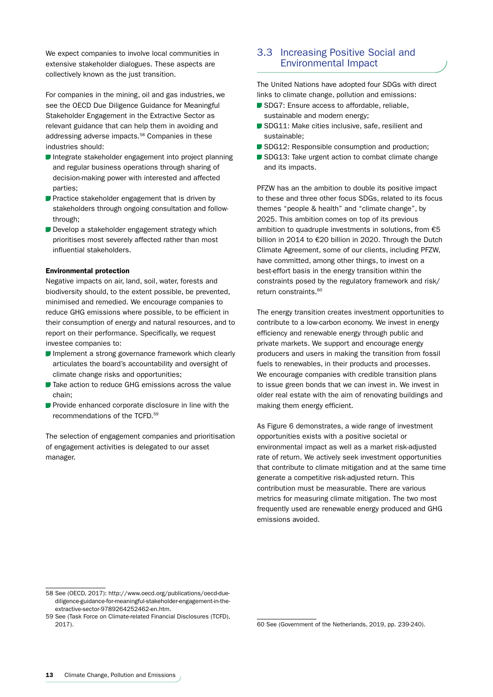We expect companies to involve local communities in extensive stakeholder dialogues. These aspects are collectively known as the just transition.

For companies in the mining, oil and gas industries, we see the OECD Due Diligence Guidance for Meaningful Stakeholder Engagement in the Extractive Sector as relevant guidance that can help them in avoiding and addressing adverse impacts.58 Companies in these industries should:

- Integrate stakeholder engagement into project planning and regular business operations through sharing of decision-making power with interested and affected parties;
- **P** Practice stakeholder engagement that is driven by stakeholders through ongoing consultation and followthrough;
- Develop a stakeholder engagement strategy which prioritises most severely affected rather than most influential stakeholders.

#### Environmental protection

Negative impacts on air, land, soil, water, forests and biodiversity should, to the extent possible, be prevented, minimised and remedied. We encourage companies to reduce GHG emissions where possible, to be efficient in their consumption of energy and natural resources, and to report on their performance. Specifically, we request investee companies to:

- **I**mplement a strong governance framework which clearly articulates the board's accountability and oversight of climate change risks and opportunities;
- Take action to reduce GHG emissions across the value chain;
- **Provide enhanced corporate disclosure in line with the** recommendations of the TCFD.59

The selection of engagement companies and prioritisation of engagement activities is delegated to our asset manager.

### 3.3 Increasing Positive Social and Environmental Impact

The United Nations have adopted four SDGs with direct links to climate change, pollution and emissions:

- SDG7: Ensure access to affordable, reliable, sustainable and modern energy;
- SDG11: Make cities inclusive, safe, resilient and sustainable;
- SDG12: Responsible consumption and production:
- SDG13: Take urgent action to combat climate change and its impacts.

PFZW has an the ambition to double its positive impact to these and three other focus SDGs, related to its focus themes "people & health" and "climate change", by 2025. This ambition comes on top of its previous ambition to quadruple investments in solutions, from €5 billion in 2014 to €20 billion in 2020. Through the Dutch Climate Agreement, some of our clients, including PFZW, have committed, among other things, to invest on a best-effort basis in the energy transition within the constraints posed by the regulatory framework and risk/ return constraints.<sup>60</sup>

The energy transition creates investment opportunities to contribute to a low-carbon economy. We invest in energy efficiency and renewable energy through public and private markets. We support and encourage energy producers and users in making the transition from fossil fuels to renewables, in their products and processes. We encourage companies with credible transition plans to issue green bonds that we can invest in. We invest in older real estate with the aim of renovating buildings and making them energy efficient.

As Figure 6 demonstrates, a wide range of investment opportunities exists with a positive societal or environmental impact as well as a market risk-adjusted rate of return. We actively seek investment opportunities that contribute to climate mitigation and at the same time generate a competitive risk-adjusted return. This contribution must be measurable. There are various metrics for measuring climate mitigation. The two most frequently used are renewable energy produced and GHG emissions avoided.

<sup>58</sup> See (OECD, 2017): http://www.oecd.org/publications/oecd-duediligence-guidance-for-meaningful-stakeholder-engagement-in-theextractive-sector-9789264252462-en.htm.

<sup>59</sup> See (Task Force on Climate-related Financial Disclosures (TCFD), 2017).

<sup>60</sup> See (Government of the Netherlands, 2019, pp. 239-240).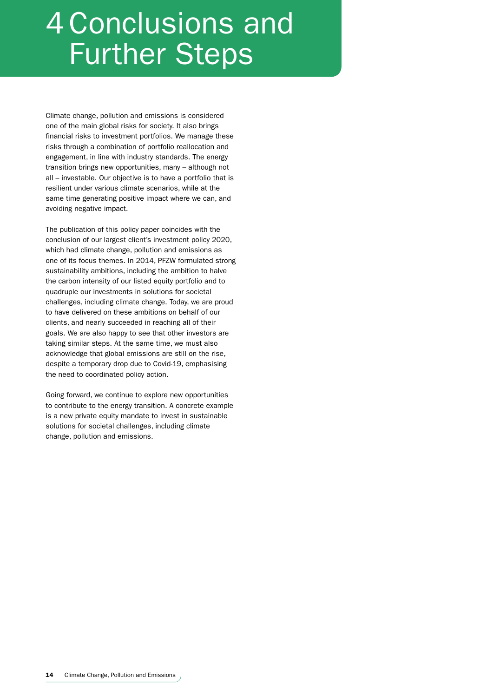# 4 Conclusions and Further Steps

Climate change, pollution and emissions is considered one of the main global risks for society. It also brings financial risks to investment portfolios. We manage these risks through a combination of portfolio reallocation and engagement, in line with industry standards. The energy transition brings new opportunities, many – although not all – investable. Our objective is to have a portfolio that is resilient under various climate scenarios, while at the same time generating positive impact where we can, and avoiding negative impact.

The publication of this policy paper coincides with the conclusion of our largest client's investment policy 2020, which had climate change, pollution and emissions as one of its focus themes. In 2014, PFZW formulated strong sustainability ambitions, including the ambition to halve the carbon intensity of our listed equity portfolio and to quadruple our investments in solutions for societal challenges, including climate change. Today, we are proud to have delivered on these ambitions on behalf of our clients, and nearly succeeded in reaching all of their goals. We are also happy to see that other investors are taking similar steps. At the same time, we must also acknowledge that global emissions are still on the rise, despite a temporary drop due to Covid-19, emphasising the need to coordinated policy action.

Going forward, we continue to explore new opportunities to contribute to the energy transition. A concrete example is a new private equity mandate to invest in sustainable solutions for societal challenges, including climate change, pollution and emissions.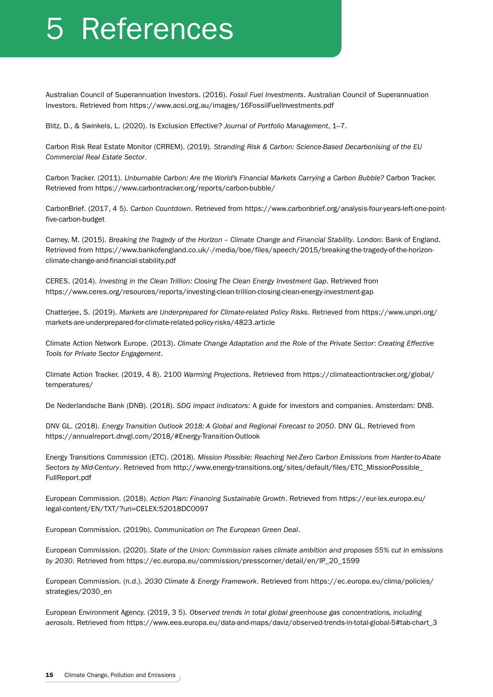# 5 References

Australian Council of Superannuation Investors. (2016). *Fossil Fuel Investments*. Australian Council of Superannuation Investors. Retrieved from https://www.acsi.org.au/images/16FossilFuelInvestments.pdf

Blitz, D., & Swinkels, L. (2020). Is Exclusion Effective? *Journal of Portfolio Management*, 1–7.

Carbon Risk Real Estate Monitor (CRREM). (2019). *Stranding Risk & Carbon: Science-Based Decarbonising of the EU Commercial Real Estate Sector*.

Carbon Tracker. (2011). *Unburnable Carbon: Are the World's Financial Markets Carrying a Carbon Bubble?* Carbon Tracker. Retrieved from https://www.carbontracker.org/reports/carbon-bubble/

CarbonBrief. (2017, 4 5). *Carbon Countdown*. Retrieved from https://www.carbonbrief.org/analysis-four-years-left-one-pointfive-carbon-budget

Carney, M. (2015). *Breaking the Tragedy of the Horizon – Climate Change and Financial Stability*. London: Bank of England. Retrieved from https://www.bankofengland.co.uk/-/media/boe/files/speech/2015/breaking-the-tragedy-of-the-horizonclimate-change-and-financial-stability.pdf

CERES. (2014). *Investing in the Clean Trillion: Closing The Clean Energy Investment Gap*. Retrieved from https://www.ceres.org/resources/reports/investing-clean-trillion-closing-clean-energy-investment-gap

Chatterjee, S. (2019). *Markets are Underprepared for Climate-related Policy Risks*. Retrieved from https://www.unpri.org/ markets-are-underprepared-for-climate-related-policy-risks/4823.article

Climate Action Network Europe. (2013). *Climate Change Adaptation and the Role of the Private Sector: Creating Effective Tools for Private Sector Engagement*.

Climate Action Tracker. (2019, 4 8). 2100 *Warming Projections*. Retrieved from https://climateactiontracker.org/global/ temperatures/

De Nederlandsche Bank (DNB). (2018). *SDG impact indicators*: A guide for investors and companies. Amsterdam: DNB.

DNV GL. (2018). *Energy Transition Outlook 2018: A Global and Regional Forecast to 2050*. DNV GL. Retrieved from https://annualreport.dnvgl.com/2018/#Energy-Transition-Outlook

Energy Transitions Commission (ETC). (2018). *Mission Possible: Reaching Net-Zero Carbon Emissions from Harder-to-Abate Sectors by Mid-Century*. Retrieved from http://www.energy-transitions.org/sites/default/files/ETC\_MissionPossible\_ FullReport.pdf

European Commission. (2018). *Action Plan: Financing Sustainable Growth*. Retrieved from https://eur-lex.europa.eu/ legal-content/EN/TXT/?uri=CELEX:52018DC0097

European Commission. (2019b). *Communication on The European Green Deal*.

European Commission. (2020). *State of the Union: Commission raises climate ambition and proposes 55% cut in emissions by 2030*. Retrieved from https://ec.europa.eu/commission/presscorner/detail/en/IP\_20\_1599

European Commission. (n.d.). *2030 Climate & Energy Framework*. Retrieved from https://ec.europa.eu/clima/policies/ strategies/2030\_en

European Environment Agency. (2019, 3 5). *Observed trends in total global greenhouse gas concentrations, including aerosols*. Retrieved from https://www.eea.europa.eu/data-and-maps/daviz/observed-trends-in-total-global-5#tab-chart\_3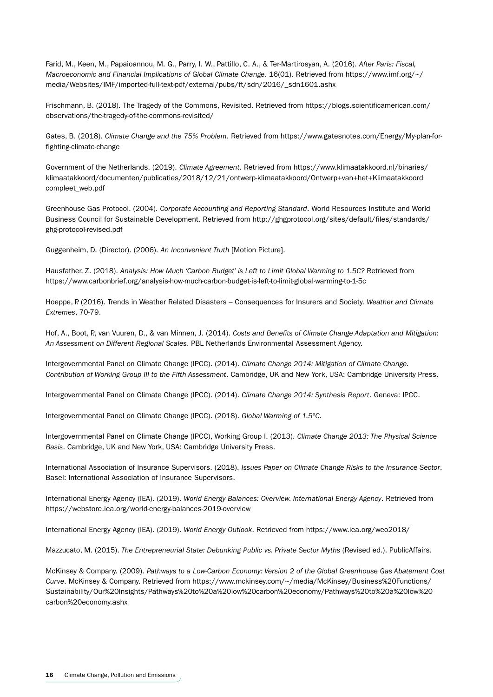Farid, M., Keen, M., Papaioannou, M. G., Parry, I. W., Pattillo, C. A., & Ter-Martirosyan, A. (2016). *After Paris: Fiscal, Macroeconomic and Financial Implications of Global Climate Change*. 16(01). Retrieved from https://www.imf.org/~/ media/Websites/IMF/imported-full-text-pdf/external/pubs/ft/sdn/2016/\_sdn1601.ashx

Frischmann, B. (2018). The Tragedy of the Commons, Revisited. Retrieved from https://blogs.scientificamerican.com/ observations/the-tragedy-of-the-commons-revisited/

Gates, B. (2018). *Climate Change and the 75% Problem*. Retrieved from https://www.gatesnotes.com/Energy/My-plan-forfighting-climate-change

Government of the Netherlands. (2019). *Climate Agreement*. Retrieved from https://www.klimaatakkoord.nl/binaries/ klimaatakkoord/documenten/publicaties/2018/12/21/ontwerp-klimaatakkoord/Ontwerp+van+het+Klimaatakkoord\_ compleet\_web.pdf

Greenhouse Gas Protocol. (2004). *Corporate Accounting and Reporting Standard*. World Resources Institute and World Business Council for Sustainable Development. Retrieved from http://ghgprotocol.org/sites/default/files/standards/ ghg-protocol-revised.pdf

Guggenheim, D. (Director). (2006). *An Inconvenient Truth* [Motion Picture].

Hausfather, Z. (2018). *Analysis: How Much 'Carbon Budget' is Left to Limit Global Warming to 1.5C?* Retrieved from https://www.carbonbrief.org/analysis-how-much-carbon-budget-is-left-to-limit-global-warming-to-1-5c

Hoeppe, P. (2016). Trends in Weather Related Disasters – Consequences for Insurers and Society. *Weather and Climate Extremes*, 70-79.

Hof, A., Boot, P., van Vuuren, D., & van Minnen, J. (2014). *Costs and Benefits of Climate Change Adaptation and Mitigation: An Assessment on Different Regional Scales*. PBL Netherlands Environmental Assessment Agency.

Intergovernmental Panel on Climate Change (IPCC). (2014). *Climate Change 2014: Mitigation of Climate Change. Contribution of Working Group III to the Fifth Assessment*. Cambridge, UK and New York, USA: Cambridge University Press.

Intergovernmental Panel on Climate Change (IPCC). (2014). *Climate Change 2014: Synthesis Report*. Geneva: IPCC.

Intergovernmental Panel on Climate Change (IPCC). (2018). *Global Warming of 1.5ºC*.

Intergovernmental Panel on Climate Change (IPCC), Working Group I. (2013). *Climate Change 2013: The Physical Science Basis*. Cambridge, UK and New York, USA: Cambridge University Press.

International Association of Insurance Supervisors. (2018). *Issues Paper on Climate Change Risks to the Insurance Sector*. Basel: International Association of Insurance Supervisors.

International Energy Agency (IEA). (2019). *World Energy Balances: Overview. International Energy Agency*. Retrieved from https://webstore.iea.org/world-energy-balances-2019-overview

International Energy Agency (IEA). (2019). *World Energy Outlook*. Retrieved from https://www.iea.org/weo2018/

Mazzucato, M. (2015). *The Entrepreneurial State: Debunking Public vs. Private Sector Myths* (Revised ed.). PublicAffairs.

McKinsey & Company. (2009). *Pathways to a Low-Carbon Economy: Version 2 of the Global Greenhouse Gas Abatement Cost Curve*. McKinsey & Company. Retrieved from https://www.mckinsey.com/~/media/McKinsey/Business%20Functions/ Sustainability/Our%20Insights/Pathways%20to%20a%20low%20carbon%20economy/Pathways%20to%20a%20low%20 carbon%20economy.ashx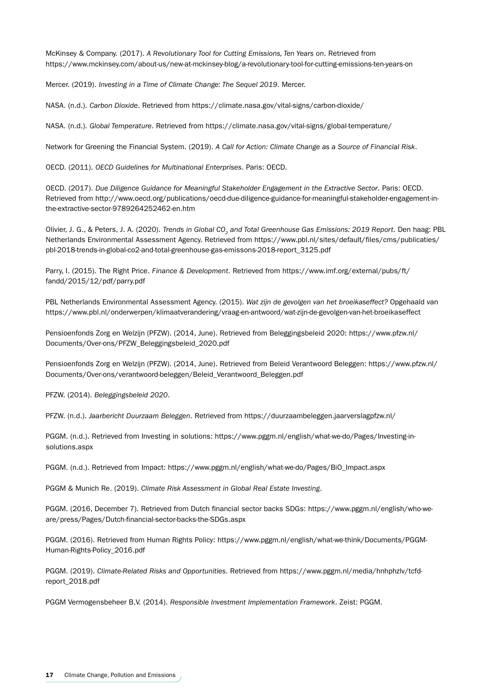McKinsey & Company. (2017). *A Revolutionary Tool for Cutting Emissions, Ten Years on*. Retrieved from https://www.mckinsey.com/about-us/new-at-mckinsey-blog/a-revolutionary-tool-for-cutting-emissions-ten-years-on

Mercer. (2019). *Investing in a Time of Climate Change: The Sequel 2019*. Mercer.

NASA. (n.d.). *Carbon Dioxide*. Retrieved from https://climate.nasa.gov/vital-signs/carbon-dioxide/

NASA. (n.d.). *Global Temperature*. Retrieved from https://climate.nasa.gov/vital-signs/global-temperature/

Network for Greening the Financial System. (2019). *A Call for Action: Climate Change as a Source of Financial Risk*.

OECD. (2011). *OECD Guidelines for Multinational Enterprises*. Paris: OECD.

OECD. (2017). *Due Diligence Guidance for Meaningful Stakeholder Engagement in the Extractive Sector*. Paris: OECD. Retrieved from http://www.oecd.org/publications/oecd-due-diligence-guidance-for-meaningful-stakeholder-engagement-inthe-extractive-sector-9789264252462-en.htm

Olivier, J. G., & Peters, J. A. (2020). *Trends in Global CO2 and Total Greenhouse Gas Emissions: 2019 Report*. Den haag: PBL Netherlands Environmental Assessment Agency. Retrieved from https://www.pbl.nl/sites/default/files/cms/publicaties/ pbl-2018-trends-in-global-co2-and-total-greenhouse-gas-emissons-2018-report\_3125.pdf

Parry, I. (2015). The Right Price. *Finance & Development*. Retrieved from https://www.imf.org/external/pubs/ft/ fandd/2015/12/pdf/parry.pdf

PBL Netherlands Environmental Assessment Agency. (2015). *Wat zijn de gevolgen van het broeikaseffect?* Opgehaald van https://www.pbl.nl/onderwerpen/klimaatverandering/vraag-en-antwoord/wat-zijn-de-gevolgen-van-het-broeikaseffect

Pensioenfonds Zorg en Welzijn (PFZW). (2014, June). Retrieved from Beleggingsbeleid 2020: https://www.pfzw.nl/ Documents/Over-ons/PFZW\_Beleggingsbeleid\_2020.pdf

Pensioenfonds Zorg en Welzijn (PFZW). (2014, June). Retrieved from Beleid Verantwoord Beleggen: https://www.pfzw.nl/ Documents/Over-ons/verantwoord-beleggen/Beleid\_Verantwoord\_Beleggen.pdf

PFZW. (2014). *Beleggingsbeleid 2020*.

PFZW. (n.d.). *Jaarbericht Duurzaam Beleggen*. Retrieved from https://duurzaambeleggen.jaarverslagpfzw.nl/

PGGM. (n.d.). Retrieved from Investing in solutions: https://www.pggm.nl/english/what-we-do/Pages/Investing-insolutions.aspx

PGGM. (n.d.). Retrieved from Impact: https://www.pggm.nl/english/what-we-do/Pages/BiO\_Impact.aspx

PGGM & Munich Re. (2019). *Climate Risk Assessment in Global Real Estate Investing*.

PGGM. (2016, December 7). Retrieved from Dutch financial sector backs SDGs: https://www.pggm.nl/english/who-weare/press/Pages/Dutch-financial-sector-backs-the-SDGs.aspx

PGGM. (2016). Retrieved from Human Rights Policy: https://www.pggm.nl/english/what-we-think/Documents/PGGM-Human-Rights-Policy\_2016.pdf

PGGM. (2019). *Climate-Related Risks and Opportunities*. Retrieved from https://www.pggm.nl/media/hnhphzlv/tcfdreport\_2018.pdf

PGGM Vermogensbeheer B.V. (2014). *Responsible Investment Implementation Framework*. Zeist: PGGM.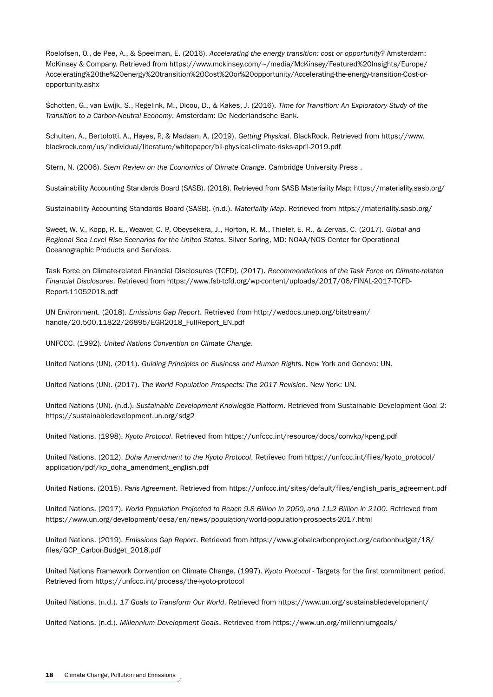Roelofsen, O., de Pee, A., & Speelman, E. (2016). *Accelerating the energy transition: cost or opportunity?* Amsterdam: McKinsey & Company. Retrieved from https://www.mckinsey.com/~/media/McKinsey/Featured%20Insights/Europe/ Accelerating%20the%20energy%20transition%20Cost%20or%20opportunity/Accelerating-the-energy-transition-Cost-oropportunity.ashx

Schotten, G., van Ewijk, S., Regelink, M., Dicou, D., & Kakes, J. (2016). *Time for Transition: An Exploratory Study of the Transition to a Carbon-Neutral Economy*. Amsterdam: De Nederlandsche Bank.

Schulten, A., Bertolotti, A., Hayes, P., & Madaan, A. (2019). *Getting Physical*. BlackRock. Retrieved from https://www. blackrock.com/us/individual/literature/whitepaper/bii-physical-climate-risks-april-2019.pdf

Stern, N. (2006). *Stern Review on the Economics of Climate Change*. Cambridge University Press .

Sustainability Accounting Standards Board (SASB). (2018). Retrieved from SASB Materiality Map: https://materiality.sasb.org/

Sustainability Accounting Standards Board (SASB). (n.d.). *Materiality Map*. Retrieved from https://materiality.sasb.org/

Sweet, W. V., Kopp, R. E., Weaver, C. P., Obeysekera, J., Horton, R. M., Thieler, E. R., & Zervas, C. (2017). *Global and Regional Sea Level Rise Scenarios for the United States*. Silver Spring, MD: NOAA/NOS Center for Operational Oceanographic Products and Services.

Task Force on Climate-related Financial Disclosures (TCFD). (2017). *Recommendations of the Task Force on Climate-related Financial Disclosures*. Retrieved from https://www.fsb-tcfd.org/wp-content/uploads/2017/06/FINAL-2017-TCFD-Report-11052018.pdf

UN Environment. (2018). *Emissions Gap Report*. Retrieved from http://wedocs.unep.org/bitstream/ handle/20.500.11822/26895/EGR2018\_FullReport\_EN.pdf

UNFCCC. (1992). *United Nations Convention on Climate Change*.

United Nations (UN). (2011). *Guiding Principles on Business and Human Rights*. New York and Geneva: UN.

United Nations (UN). (2017). *The World Population Prospects: The 2017 Revision*. New York: UN.

United Nations (UN). (n.d.). *Sustainable Development Knowlegde Platform*. Retrieved from Sustainable Development Goal 2: https://sustainabledevelopment.un.org/sdg2

United Nations. (1998). *Kyoto Protocol*. Retrieved from https://unfccc.int/resource/docs/convkp/kpeng.pdf

United Nations. (2012). *Doha Amendment to the Kyoto Protocol*. Retrieved from https://unfccc.int/files/kyoto\_protocol/ application/pdf/kp\_doha\_amendment\_english.pdf

United Nations. (2015). *Paris Agreement*. Retrieved from https://unfccc.int/sites/default/files/english\_paris\_agreement.pdf

United Nations. (2017). *World Population Projected to Reach 9.8 Billion in 2050, and 11.2 Billion in 2100*. Retrieved from https://www.un.org/development/desa/en/news/population/world-population-prospects-2017.html

United Nations. (2019). *Emissions Gap Report*. Retrieved from https://www.globalcarbonproject.org/carbonbudget/18/ files/GCP\_CarbonBudget\_2018.pdf

United Nations Framework Convention on Climate Change. (1997). *Kyoto Protocol* - Targets for the first commitment period. Retrieved from https://unfccc.int/process/the-kyoto-protocol

United Nations. (n.d.). *17 Goals to Transform Our World*. Retrieved from https://www.un.org/sustainabledevelopment/

United Nations. (n.d.). *Millennium Development Goals*. Retrieved from https://www.un.org/millenniumgoals/